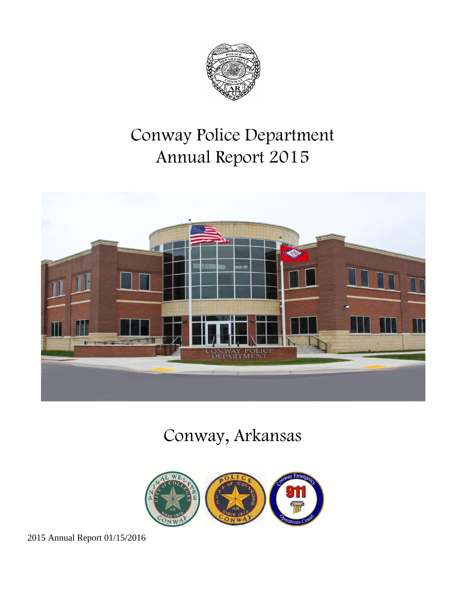

# Conway Police Department Annual Report 2015



# Conway, Arkansas

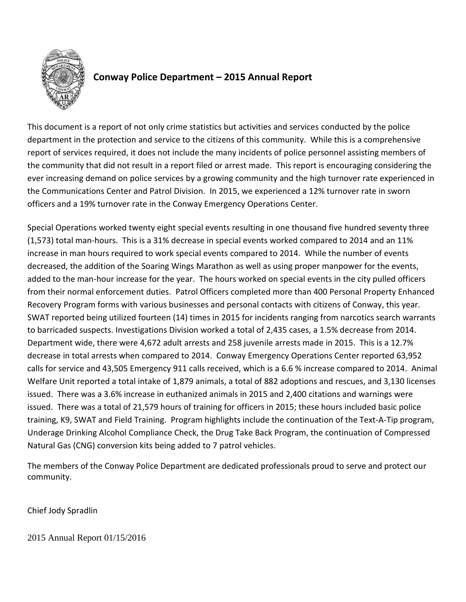

# **Conway Police Department – 2015 Annual Report**

This document is a report of not only crime statistics but activities and services conducted by the police department in the protection and service to the citizens of this community. While this is a comprehensive report of services required, it does not include the many incidents of police personnel assisting members of the community that did not result in a report filed or arrest made. This report is encouraging considering the ever increasing demand on police services by a growing community and the high turnover rate experienced in the Communications Center and Patrol Division. In 2015, we experienced a 12% turnover rate in sworn officers and a 19% turnover rate in the Conway Emergency Operations Center.

Special Operations worked twenty eight special events resulting in one thousand five hundred seventy three (1,573) total man-hours. This is a 31% decrease in special events worked compared to 2014 and an 11% increase in man hours required to work special events compared to 2014. While the number of events decreased, the addition of the Soaring Wings Marathon as well as using proper manpower for the events, added to the man-hour increase for the year. The hours worked on special events in the city pulled officers from their normal enforcement duties. Patrol Officers completed more than 400 Personal Property Enhanced Recovery Program forms with various businesses and personal contacts with citizens of Conway, this year. SWAT reported being utilized fourteen (14) times in 2015 for incidents ranging from narcotics search warrants to barricaded suspects. Investigations Division worked a total of 2,435 cases, a 1.5% decrease from 2014. Department wide, there were 4,672 adult arrests and 258 juvenile arrests made in 2015. This is a 12.7% decrease in total arrests when compared to 2014. Conway Emergency Operations Center reported 63,952 calls for service and 43,505 Emergency 911 calls received, which is a 6.6 % increase compared to 2014. Animal Welfare Unit reported a total intake of 1,879 animals, a total of 882 adoptions and rescues, and 3,130 licenses issued. There was a 3.6% increase in euthanized animals in 2015 and 2,400 citations and warnings were issued. There was a total of 21,579 hours of training for officers in 2015; these hours included basic police training, K9, SWAT and Field Training. Program highlights include the continuation of the Text-A-Tip program, Underage Drinking Alcohol Compliance Check, the Drug Take Back Program, the continuation of Compressed Natural Gas (CNG) conversion kits being added to 7 patrol vehicles.

The members of the Conway Police Department are dedicated professionals proud to serve and protect our community.

Chief Jody Spradlin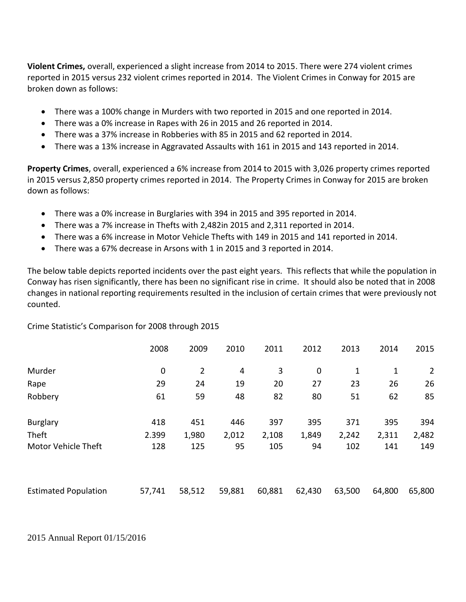**Violent Crimes,** overall, experienced a slight increase from 2014 to 2015. There were 274 violent crimes reported in 2015 versus 232 violent crimes reported in 2014. The Violent Crimes in Conway for 2015 are broken down as follows:

- There was a 100% change in Murders with two reported in 2015 and one reported in 2014.
- There was a 0% increase in Rapes with 26 in 2015 and 26 reported in 2014.
- There was a 37% increase in Robberies with 85 in 2015 and 62 reported in 2014.
- There was a 13% increase in Aggravated Assaults with 161 in 2015 and 143 reported in 2014.

**Property Crimes**, overall, experienced a 6% increase from 2014 to 2015 with 3,026 property crimes reported in 2015 versus 2,850 property crimes reported in 2014. The Property Crimes in Conway for 2015 are broken down as follows:

- There was a 0% increase in Burglaries with 394 in 2015 and 395 reported in 2014.
- There was a 7% increase in Thefts with 2,482in 2015 and 2,311 reported in 2014.
- There was a 6% increase in Motor Vehicle Thefts with 149 in 2015 and 141 reported in 2014.
- There was a 67% decrease in Arsons with 1 in 2015 and 3 reported in 2014.

The below table depicts reported incidents over the past eight years. This reflects that while the population in Conway has risen significantly, there has been no significant rise in crime. It should also be noted that in 2008 changes in national reporting requirements resulted in the inclusion of certain crimes that were previously not counted.

Crime Statistic's Comparison for 2008 through 2015

|                             | 2008        | 2009           | 2010   | 2011   | 2012        | 2013        | 2014         | 2015           |
|-----------------------------|-------------|----------------|--------|--------|-------------|-------------|--------------|----------------|
| Murder                      | $\mathbf 0$ | $\overline{2}$ | 4      | 3      | $\mathbf 0$ | $\mathbf 1$ | $\mathbf{1}$ | $\overline{2}$ |
| Rape                        | 29          | 24             | 19     | 20     | 27          | 23          | 26           | 26             |
| Robbery                     | 61          | 59             | 48     | 82     | 80          | 51          | 62           | 85             |
| <b>Burglary</b>             | 418         | 451            | 446    | 397    | 395         | 371         | 395          | 394            |
| Theft                       | 2.399       | 1,980          | 2,012  | 2,108  | 1,849       | 2,242       | 2,311        | 2,482          |
| <b>Motor Vehicle Theft</b>  | 128         | 125            | 95     | 105    | 94          | 102         | 141          | 149            |
|                             |             |                |        |        |             |             |              |                |
| <b>Estimated Population</b> | 57,741      | 58,512         | 59,881 | 60,881 | 62,430      | 63,500      | 64,800       | 65,800         |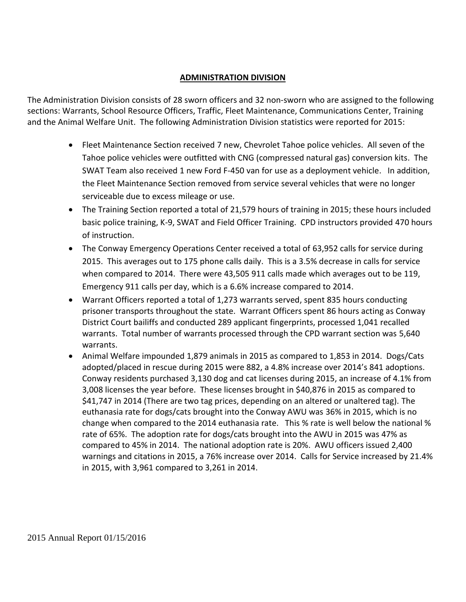#### **ADMINISTRATION DIVISION**

The Administration Division consists of 28 sworn officers and 32 non-sworn who are assigned to the following sections: Warrants, School Resource Officers, Traffic, Fleet Maintenance, Communications Center, Training and the Animal Welfare Unit. The following Administration Division statistics were reported for 2015:

- Fleet Maintenance Section received 7 new, Chevrolet Tahoe police vehicles. All seven of the Tahoe police vehicles were outfitted with CNG (compressed natural gas) conversion kits. The SWAT Team also received 1 new Ford F-450 van for use as a deployment vehicle. In addition, the Fleet Maintenance Section removed from service several vehicles that were no longer serviceable due to excess mileage or use.
- The Training Section reported a total of 21,579 hours of training in 2015; these hours included basic police training, K-9, SWAT and Field Officer Training. CPD instructors provided 470 hours of instruction.
- The Conway Emergency Operations Center received a total of 63,952 calls for service during 2015. This averages out to 175 phone calls daily. This is a 3.5% decrease in calls for service when compared to 2014. There were 43,505 911 calls made which averages out to be 119, Emergency 911 calls per day, which is a 6.6% increase compared to 2014.
- Warrant Officers reported a total of 1,273 warrants served, spent 835 hours conducting prisoner transports throughout the state. Warrant Officers spent 86 hours acting as Conway District Court bailiffs and conducted 289 applicant fingerprints, processed 1,041 recalled warrants. Total number of warrants processed through the CPD warrant section was 5,640 warrants.
- Animal Welfare impounded 1,879 animals in 2015 as compared to 1,853 in 2014. Dogs/Cats adopted/placed in rescue during 2015 were 882, a 4.8% increase over 2014's 841 adoptions. Conway residents purchased 3,130 dog and cat licenses during 2015, an increase of 4.1% from 3,008 licenses the year before. These licenses brought in \$40,876 in 2015 as compared to \$41,747 in 2014 (There are two tag prices, depending on an altered or unaltered tag). The euthanasia rate for dogs/cats brought into the Conway AWU was 36% in 2015, which is no change when compared to the 2014 euthanasia rate. This % rate is well below the national % rate of 65%. The adoption rate for dogs/cats brought into the AWU in 2015 was 47% as compared to 45% in 2014. The national adoption rate is 20%. AWU officers issued 2,400 warnings and citations in 2015, a 76% increase over 2014. Calls for Service increased by 21.4% in 2015, with 3,961 compared to 3,261 in 2014.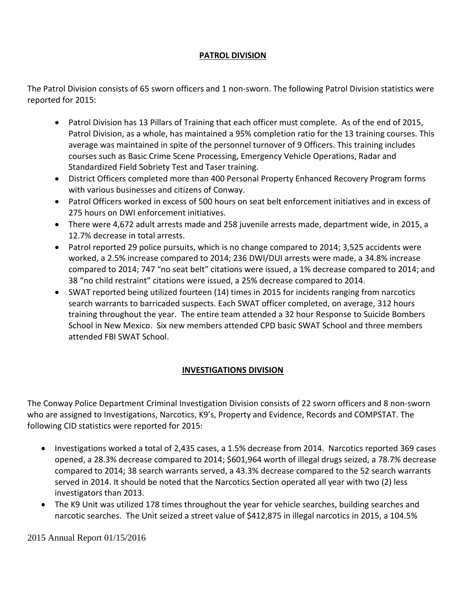#### **PATROL DIVISION**

The Patrol Division consists of 65 sworn officers and 1 non-sworn. The following Patrol Division statistics were reported for 2015:

- Patrol Division has 13 Pillars of Training that each officer must complete. As of the end of 2015, Patrol Division, as a whole, has maintained a 95% completion ratio for the 13 training courses. This average was maintained in spite of the personnel turnover of 9 Officers. This training includes courses such as Basic Crime Scene Processing, Emergency Vehicle Operations, Radar and Standardized Field Sobriety Test and Taser training.
- District Officers completed more than 400 Personal Property Enhanced Recovery Program forms with various businesses and citizens of Conway.
- Patrol Officers worked in excess of 500 hours on seat belt enforcement initiatives and in excess of 275 hours on DWI enforcement initiatives.
- There were 4,672 adult arrests made and 258 juvenile arrests made, department wide, in 2015, a 12.7% decrease in total arrests.
- Patrol reported 29 police pursuits, which is no change compared to 2014; 3,525 accidents were worked, a 2.5% increase compared to 2014; 236 DWI/DUI arrests were made, a 34.8% increase compared to 2014; 747 "no seat belt" citations were issued, a 1% decrease compared to 2014; and 38 "no child restraint" citations were issued, a 25% decrease compared to 2014.
- SWAT reported being utilized fourteen (14) times in 2015 for incidents ranging from narcotics search warrants to barricaded suspects. Each SWAT officer completed, on average, 312 hours training throughout the year. The entire team attended a 32 hour Response to Suicide Bombers School in New Mexico. Six new members attended CPD basic SWAT School and three members attended FBI SWAT School.

# **INVESTIGATIONS DIVISION**

The Conway Police Department Criminal Investigation Division consists of 22 sworn officers and 8 non-sworn who are assigned to Investigations, Narcotics, K9's, Property and Evidence, Records and COMPSTAT. The following CID statistics were reported for 2015:

- Investigations worked a total of 2,435 cases, a 1.5% decrease from 2014. Narcotics reported 369 cases opened, a 28.3% decrease compared to 2014; \$601,964 worth of illegal drugs seized, a 78.7% decrease compared to 2014; 38 search warrants served, a 43.3% decrease compared to the 52 search warrants served in 2014. It should be noted that the Narcotics Section operated all year with two (2) less investigators than 2013.
- The K9 Unit was utilized 178 times throughout the year for vehicle searches, building searches and narcotic searches. The Unit seized a street value of \$412,875 in illegal narcotics in 2015, a 104.5%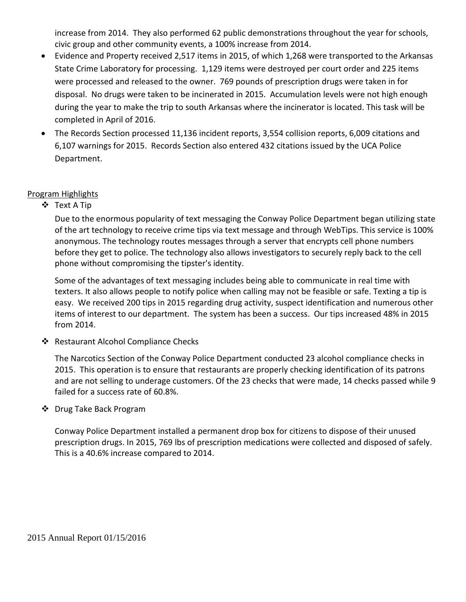increase from 2014. They also performed 62 public demonstrations throughout the year for schools, civic group and other community events, a 100% increase from 2014.

- Evidence and Property received 2,517 items in 2015, of which 1,268 were transported to the Arkansas State Crime Laboratory for processing. 1,129 items were destroyed per court order and 225 items were processed and released to the owner. 769 pounds of prescription drugs were taken in for disposal. No drugs were taken to be incinerated in 2015. Accumulation levels were not high enough during the year to make the trip to south Arkansas where the incinerator is located. This task will be completed in April of 2016.
- The Records Section processed 11,136 incident reports, 3,554 collision reports, 6,009 citations and 6,107 warnings for 2015. Records Section also entered 432 citations issued by the UCA Police Department.

#### Program Highlights

Text A Tip

Due to the enormous popularity of text messaging the Conway Police Department began utilizing state of the art technology to receive crime tips via text message and through WebTips. This service is 100% anonymous. The technology routes messages through a server that encrypts cell phone numbers before they get to police. The technology also allows investigators to securely reply back to the cell phone without compromising the tipster's identity.

Some of the advantages of text messaging includes being able to communicate in real time with texters. It also allows people to notify police when calling may not be feasible or safe. Texting a tip is easy. We received 200 tips in 2015 regarding drug activity, suspect identification and numerous other items of interest to our department. The system has been a success. Our tips increased 48% in 2015 from 2014.

❖ Restaurant Alcohol Compliance Checks

The Narcotics Section of the Conway Police Department conducted 23 alcohol compliance checks in 2015. This operation is to ensure that restaurants are properly checking identification of its patrons and are not selling to underage customers. Of the 23 checks that were made, 14 checks passed while 9 failed for a success rate of 60.8%.

Drug Take Back Program

Conway Police Department installed a permanent drop box for citizens to dispose of their unused prescription drugs. In 2015, 769 lbs of prescription medications were collected and disposed of safely. This is a 40.6% increase compared to 2014.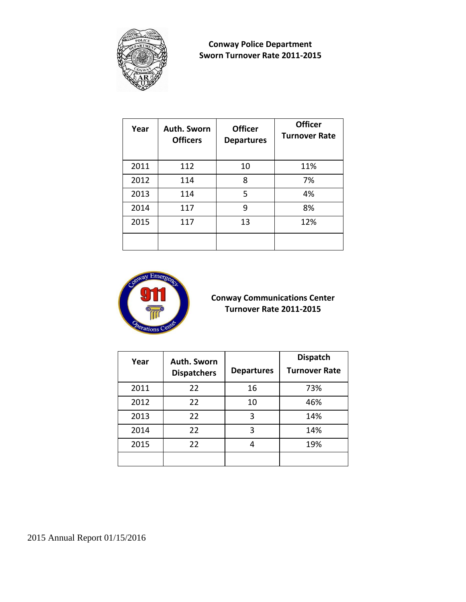

**Conway Police Department Sworn Turnover Rate 2011-2015**

| Year | Auth. Sworn<br><b>Officers</b> | <b>Officer</b><br><b>Departures</b> | <b>Officer</b><br><b>Turnover Rate</b> |
|------|--------------------------------|-------------------------------------|----------------------------------------|
| 2011 | 112                            | 10                                  | 11%                                    |
| 2012 | 114                            | 8                                   | 7%                                     |
| 2013 | 114                            | 5                                   | 4%                                     |
| 2014 | 117                            | 9                                   | 8%                                     |
| 2015 | 117                            | 13                                  | 12%                                    |
|      |                                |                                     |                                        |



## **Conway Communications Center Turnover Rate 2011-2015**

| Year | Auth. Sworn<br><b>Dispatchers</b> | <b>Departures</b> | <b>Dispatch</b><br><b>Turnover Rate</b> |
|------|-----------------------------------|-------------------|-----------------------------------------|
| 2011 | 22                                | 16                | 73%                                     |
| 2012 | 22                                | 10                | 46%                                     |
| 2013 | 22                                | 3                 | 14%                                     |
| 2014 | 22                                | 3                 | 14%                                     |
| 2015 | 22                                | 4                 | 19%                                     |
|      |                                   |                   |                                         |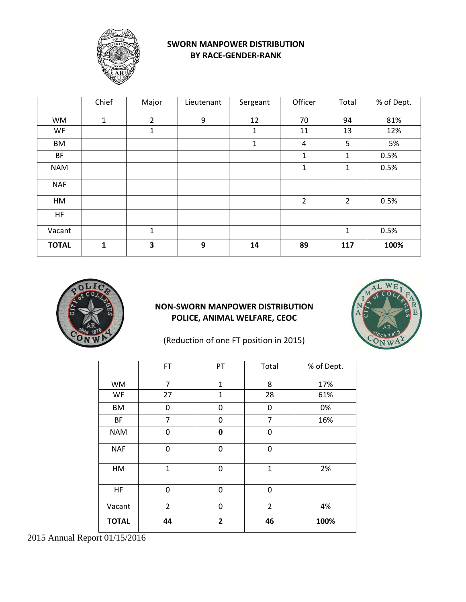

#### **SWORN MANPOWER DISTRIBUTION BY RACE-GENDER-RANK**

|              | Chief        | Major          | Lieutenant | Sergeant    | Officer        | Total          | % of Dept. |
|--------------|--------------|----------------|------------|-------------|----------------|----------------|------------|
| <b>WM</b>    | $\mathbf{1}$ | $\overline{2}$ | 9          | 12          | 70             | 94             | 81%        |
| <b>WF</b>    |              | 1              |            | $\mathbf 1$ | 11             | 13             | 12%        |
| <b>BM</b>    |              |                |            | $\mathbf 1$ | 4              | 5              | 5%         |
| <b>BF</b>    |              |                |            |             | $\mathbf 1$    | $\mathbf{1}$   | 0.5%       |
| <b>NAM</b>   |              |                |            |             | 1              | 1              | 0.5%       |
| <b>NAF</b>   |              |                |            |             |                |                |            |
| HM           |              |                |            |             | $\overline{2}$ | $\overline{2}$ | 0.5%       |
| <b>HF</b>    |              |                |            |             |                |                |            |
| Vacant       |              | $\mathbf{1}$   |            |             |                | 1              | 0.5%       |
| <b>TOTAL</b> | $\mathbf{1}$ | 3              | 9          | 14          | 89             | 117            | 100%       |



## **NON-SWORN MANPOWER DISTRIBUTION POLICE, ANIMAL WELFARE, CEOC**



(Reduction of one FT position in 2015)

|              | <b>FT</b>      | PT             | Total          | % of Dept. |
|--------------|----------------|----------------|----------------|------------|
| <b>WM</b>    | 7              | $\mathbf{1}$   | 8              | 17%        |
| WF           | 27             | $\overline{1}$ | 28             | 61%        |
| BM           | 0              | 0              | 0              | 0%         |
| <b>BF</b>    | $\overline{7}$ | 0              | $\overline{7}$ | 16%        |
| <b>NAM</b>   | 0              | 0              | 0              |            |
| <b>NAF</b>   | 0              | 0              | 0              |            |
| HM           | $\mathbf{1}$   | 0              | $\mathbf{1}$   | 2%         |
| <b>HF</b>    | $\mathbf 0$    | 0              | 0              |            |
| Vacant       | $\overline{2}$ | 0              | $\overline{2}$ | 4%         |
| <b>TOTAL</b> | 44             | $\overline{2}$ | 46             | 100%       |